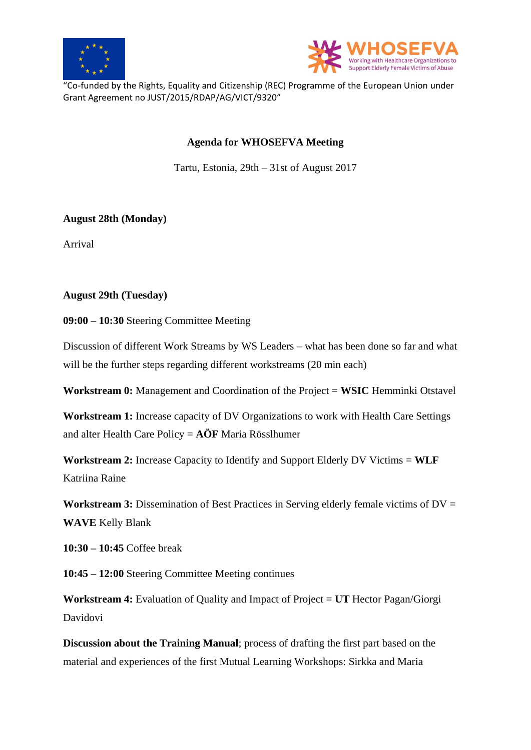



"Co-funded by the Rights, Equality and Citizenship (REC) Programme of the European Union under Grant Agreement no JUST/2015/RDAP/AG/VICT/9320"

## **Agenda for WHOSEFVA Meeting**

Tartu, Estonia, 29th – 31st of August 2017

## **August 28th (Monday)**

Arrival

## **August 29th (Tuesday)**

**09:00 – 10:30** Steering Committee Meeting

Discussion of different Work Streams by WS Leaders – what has been done so far and what will be the further steps regarding different workstreams (20 min each)

**Workstream 0:** Management and Coordination of the Project = **WSIC** Hemminki Otstavel

**Workstream 1:** Increase capacity of DV Organizations to work with Health Care Settings and alter Health Care Policy = **AÖF** Maria Rösslhumer

**Workstream 2:** Increase Capacity to Identify and Support Elderly DV Victims = **WLF**  Katriina Raine

**Workstream 3:** Dissemination of Best Practices in Serving elderly female victims of DV = **WAVE** Kelly Blank

**10:30 – 10:45** Coffee break

**10:45 – 12:00** Steering Committee Meeting continues

**Workstream 4:** Evaluation of Quality and Impact of Project = **UT** Hector Pagan/Giorgi Davidovi

**Discussion about the Training Manual**; process of drafting the first part based on the material and experiences of the first Mutual Learning Workshops: Sirkka and Maria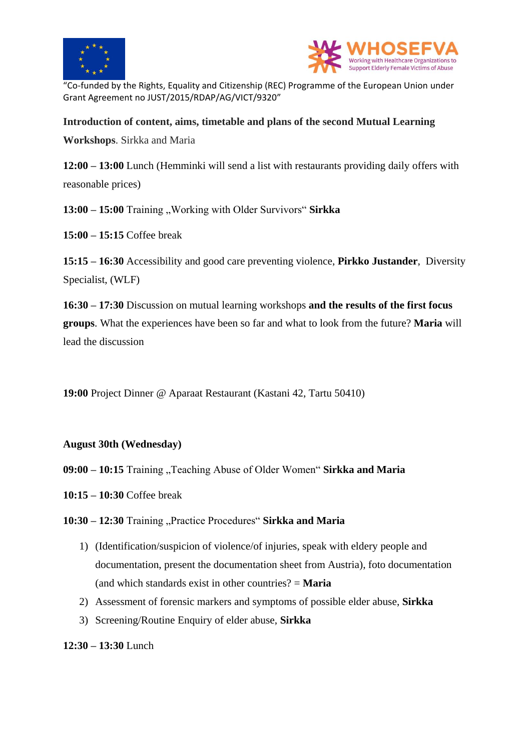



"Co-funded by the Rights, Equality and Citizenship (REC) Programme of the European Union under Grant Agreement no JUST/2015/RDAP/AG/VICT/9320"

# **Introduction of content, aims, timetable and plans of the second Mutual Learning**

**Workshops**. Sirkka and Maria

**12:00 – 13:00** Lunch (Hemminki will send a list with restaurants providing daily offers with reasonable prices)

**13:00 – 15:00** Training "Working with Older Survivors" Sirkka

**15:00 – 15:15** Coffee break

**15:15 – 16:30** Accessibility and good care preventing violence, **Pirkko Justander**, Diversity Specialist, (WLF)

**16:30 – 17:30** Discussion on mutual learning workshops **and the results of the first focus groups**. What the experiences have been so far and what to look from the future? **Maria** will lead the discussion

**19:00** Project Dinner @ Aparaat Restaurant (Kastani 42, Tartu 50410)

### **August 30th (Wednesday)**

**09:00 – 10:15** Training "Teaching Abuse of Older Women" Sirkka and Maria

**10:15 – 10:30** Coffee break

10:30 - 12:30 Training "Practice Procedures" Sirkka and Maria

- 1) (Identification/suspicion of violence/of injuries, speak with eldery people and documentation, present the documentation sheet from Austria), foto documentation (and which standards exist in other countries? = **Maria**
- 2) Assessment of forensic markers and symptoms of possible elder abuse, **Sirkka**
- 3) Screening/Routine Enquiry of elder abuse, **Sirkka**

**12:30 – 13:30** Lunch